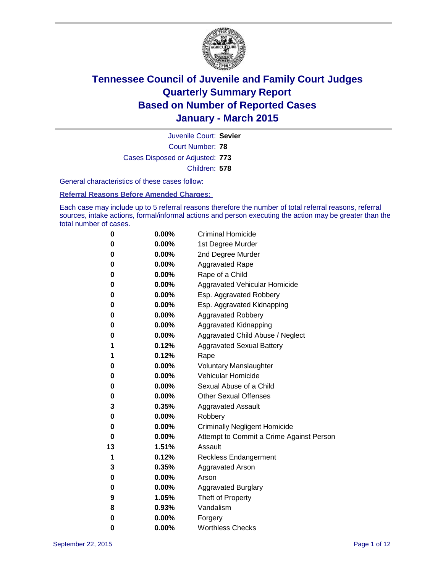

Court Number: **78** Juvenile Court: **Sevier** Cases Disposed or Adjusted: **773** Children: **578**

General characteristics of these cases follow:

**Referral Reasons Before Amended Charges:** 

Each case may include up to 5 referral reasons therefore the number of total referral reasons, referral sources, intake actions, formal/informal actions and person executing the action may be greater than the total number of cases.

| 0  | $0.00\%$ | <b>Criminal Homicide</b>                 |  |  |  |
|----|----------|------------------------------------------|--|--|--|
| 0  | 0.00%    | 1st Degree Murder                        |  |  |  |
| 0  | 0.00%    | 2nd Degree Murder                        |  |  |  |
| 0  | $0.00\%$ | <b>Aggravated Rape</b>                   |  |  |  |
| 0  | $0.00\%$ | Rape of a Child                          |  |  |  |
| 0  | 0.00%    | Aggravated Vehicular Homicide            |  |  |  |
| 0  | 0.00%    | Esp. Aggravated Robbery                  |  |  |  |
| 0  | $0.00\%$ | Esp. Aggravated Kidnapping               |  |  |  |
| 0  | 0.00%    | <b>Aggravated Robbery</b>                |  |  |  |
| 0  | 0.00%    | <b>Aggravated Kidnapping</b>             |  |  |  |
| 0  | 0.00%    | Aggravated Child Abuse / Neglect         |  |  |  |
| 1  | 0.12%    | <b>Aggravated Sexual Battery</b>         |  |  |  |
| 1  | 0.12%    | Rape                                     |  |  |  |
| 0  | $0.00\%$ | <b>Voluntary Manslaughter</b>            |  |  |  |
| 0  | $0.00\%$ | <b>Vehicular Homicide</b>                |  |  |  |
| 0  | 0.00%    | Sexual Abuse of a Child                  |  |  |  |
| 0  | 0.00%    | <b>Other Sexual Offenses</b>             |  |  |  |
| 3  | 0.35%    | <b>Aggravated Assault</b>                |  |  |  |
| 0  | 0.00%    | Robbery                                  |  |  |  |
| 0  | 0.00%    | <b>Criminally Negligent Homicide</b>     |  |  |  |
| 0  | 0.00%    | Attempt to Commit a Crime Against Person |  |  |  |
| 13 | 1.51%    | Assault                                  |  |  |  |
| 1  | 0.12%    | <b>Reckless Endangerment</b>             |  |  |  |
| 3  | 0.35%    | <b>Aggravated Arson</b>                  |  |  |  |
| 0  | $0.00\%$ | Arson                                    |  |  |  |
| 0  | 0.00%    | <b>Aggravated Burglary</b>               |  |  |  |
| 9  | 1.05%    | Theft of Property                        |  |  |  |
| 8  | 0.93%    | Vandalism                                |  |  |  |
| 0  | 0.00%    | Forgery                                  |  |  |  |
| 0  | 0.00%    | <b>Worthless Checks</b>                  |  |  |  |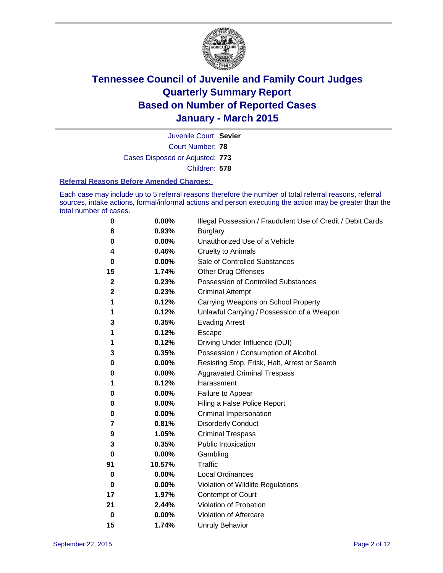

Court Number: **78** Juvenile Court: **Sevier** Cases Disposed or Adjusted: **773** Children: **578**

#### **Referral Reasons Before Amended Charges:**

Each case may include up to 5 referral reasons therefore the number of total referral reasons, referral sources, intake actions, formal/informal actions and person executing the action may be greater than the total number of cases.

| 0  | 0.00%  | Illegal Possession / Fraudulent Use of Credit / Debit Cards |
|----|--------|-------------------------------------------------------------|
| 8  | 0.93%  | <b>Burglary</b>                                             |
| 0  | 0.00%  | Unauthorized Use of a Vehicle                               |
| 4  | 0.46%  | <b>Cruelty to Animals</b>                                   |
| 0  | 0.00%  | Sale of Controlled Substances                               |
| 15 | 1.74%  | <b>Other Drug Offenses</b>                                  |
| 2  | 0.23%  | Possession of Controlled Substances                         |
| 2  | 0.23%  | <b>Criminal Attempt</b>                                     |
| 1  | 0.12%  | Carrying Weapons on School Property                         |
| 1  | 0.12%  | Unlawful Carrying / Possession of a Weapon                  |
| 3  | 0.35%  | <b>Evading Arrest</b>                                       |
| 1  | 0.12%  | Escape                                                      |
| 1  | 0.12%  | Driving Under Influence (DUI)                               |
| 3  | 0.35%  | Possession / Consumption of Alcohol                         |
| 0  | 0.00%  | Resisting Stop, Frisk, Halt, Arrest or Search               |
| 0  | 0.00%  | <b>Aggravated Criminal Trespass</b>                         |
| 1  | 0.12%  | Harassment                                                  |
| 0  | 0.00%  | Failure to Appear                                           |
| 0  | 0.00%  | Filing a False Police Report                                |
| 0  | 0.00%  | Criminal Impersonation                                      |
| 7  | 0.81%  | <b>Disorderly Conduct</b>                                   |
| 9  | 1.05%  | <b>Criminal Trespass</b>                                    |
| 3  | 0.35%  | <b>Public Intoxication</b>                                  |
| 0  | 0.00%  | Gambling                                                    |
| 91 | 10.57% | Traffic                                                     |
| 0  | 0.00%  | <b>Local Ordinances</b>                                     |
| 0  | 0.00%  | Violation of Wildlife Regulations                           |
| 17 | 1.97%  | Contempt of Court                                           |
| 21 | 2.44%  | Violation of Probation                                      |
| 0  | 0.00%  | Violation of Aftercare                                      |
| 15 | 1.74%  | <b>Unruly Behavior</b>                                      |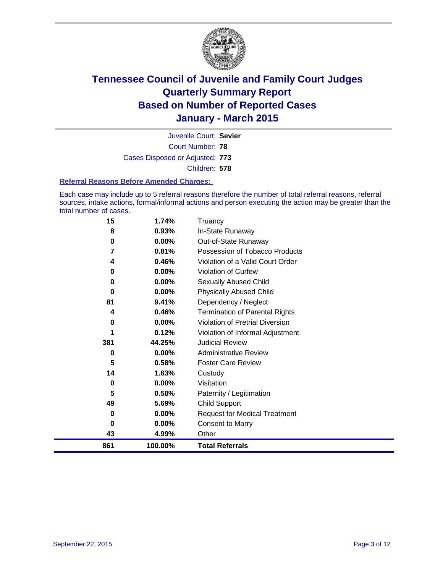

Court Number: **78** Juvenile Court: **Sevier** Cases Disposed or Adjusted: **773** Children: **578**

#### **Referral Reasons Before Amended Charges:**

Each case may include up to 5 referral reasons therefore the number of total referral reasons, referral sources, intake actions, formal/informal actions and person executing the action may be greater than the total number of cases.

| 15  | 1.74%   | Truancy                                |
|-----|---------|----------------------------------------|
| 8   | 0.93%   | In-State Runaway                       |
| 0   | 0.00%   | Out-of-State Runaway                   |
| 7   | 0.81%   | Possession of Tobacco Products         |
| 4   | 0.46%   | Violation of a Valid Court Order       |
| 0   | 0.00%   | <b>Violation of Curfew</b>             |
| 0   | 0.00%   | Sexually Abused Child                  |
| 0   | 0.00%   | <b>Physically Abused Child</b>         |
| 81  | 9.41%   | Dependency / Neglect                   |
| 4   | 0.46%   | <b>Termination of Parental Rights</b>  |
| 0   | 0.00%   | <b>Violation of Pretrial Diversion</b> |
| 1   | 0.12%   | Violation of Informal Adjustment       |
| 381 | 44.25%  | <b>Judicial Review</b>                 |
| 0   | 0.00%   | <b>Administrative Review</b>           |
| 5   | 0.58%   | <b>Foster Care Review</b>              |
| 14  | 1.63%   | Custody                                |
| 0   | 0.00%   | Visitation                             |
| 5   | 0.58%   | Paternity / Legitimation               |
| 49  | 5.69%   | <b>Child Support</b>                   |
| 0   | 0.00%   | <b>Request for Medical Treatment</b>   |
| 0   | 0.00%   | Consent to Marry                       |
| 43  | 4.99%   | Other                                  |
| 861 | 100.00% | <b>Total Referrals</b>                 |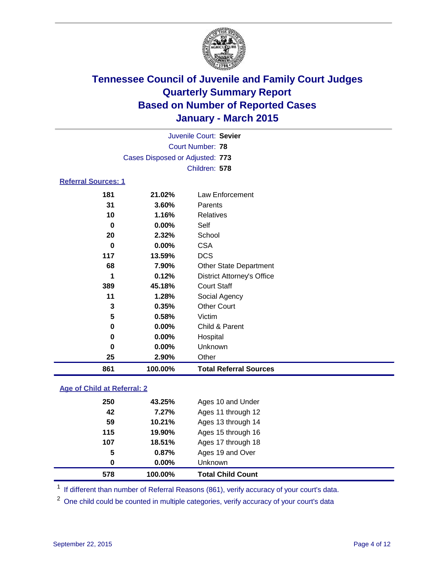

| Juvenile Court: Sevier          |          |                                   |  |  |  |
|---------------------------------|----------|-----------------------------------|--|--|--|
| Court Number: 78                |          |                                   |  |  |  |
| Cases Disposed or Adjusted: 773 |          |                                   |  |  |  |
| Children: 578                   |          |                                   |  |  |  |
| <b>Referral Sources: 1</b>      |          |                                   |  |  |  |
| 181                             | 21.02%   | Law Enforcement                   |  |  |  |
| 31                              | $3.60\%$ | Parents                           |  |  |  |
| 10                              | 1.16%    | <b>Relatives</b>                  |  |  |  |
| 0                               | $0.00\%$ | Self                              |  |  |  |
| 20                              | 2.32%    | School                            |  |  |  |
| 0                               | $0.00\%$ | <b>CSA</b>                        |  |  |  |
| 117                             | 13.59%   | <b>DCS</b>                        |  |  |  |
| 68                              | 7.90%    | <b>Other State Department</b>     |  |  |  |
| 1                               | 0.12%    | <b>District Attorney's Office</b> |  |  |  |
| 389                             | 45.18%   | <b>Court Staff</b>                |  |  |  |
| 11                              | 1.28%    | Social Agency                     |  |  |  |

| 861 |     | 100.00%  | <b>Total Referral Sources</b> |
|-----|-----|----------|-------------------------------|
|     | 25  | 2.90%    | Other                         |
|     | 0   | $0.00\%$ | <b>Unknown</b>                |
|     | 0   | 0.00%    | Hospital                      |
|     | 0   | $0.00\%$ | Child & Parent                |
|     | 5   | 0.58%    | Victim                        |
|     | 3   | 0.35%    | <b>Other Court</b>            |
|     | . . | .        |                               |

### **Age of Child at Referral: 2**

| 578 | 100.00%  | <b>Total Child Count</b> |
|-----|----------|--------------------------|
| 0   | $0.00\%$ | Unknown                  |
| 5   | 0.87%    | Ages 19 and Over         |
| 107 | 18.51%   | Ages 17 through 18       |
| 115 | 19.90%   | Ages 15 through 16       |
| 59  | 10.21%   | Ages 13 through 14       |
| 42  | 7.27%    | Ages 11 through 12       |
| 250 | 43.25%   | Ages 10 and Under        |
|     |          |                          |

<sup>1</sup> If different than number of Referral Reasons (861), verify accuracy of your court's data.

One child could be counted in multiple categories, verify accuracy of your court's data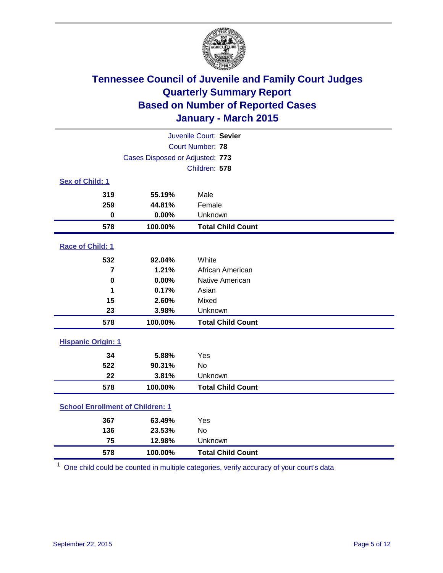

| Juvenile Court: Sevier                  |                                 |                          |  |  |
|-----------------------------------------|---------------------------------|--------------------------|--|--|
| Court Number: 78                        |                                 |                          |  |  |
|                                         | Cases Disposed or Adjusted: 773 |                          |  |  |
|                                         |                                 | Children: 578            |  |  |
| Sex of Child: 1                         |                                 |                          |  |  |
| 319                                     | 55.19%                          | Male                     |  |  |
| 259                                     | 44.81%                          | Female                   |  |  |
| $\bf{0}$                                | 0.00%                           | Unknown                  |  |  |
| 578                                     | 100.00%                         | <b>Total Child Count</b> |  |  |
| Race of Child: 1                        |                                 |                          |  |  |
| 532                                     | 92.04%                          | White                    |  |  |
| $\overline{7}$                          | 1.21%                           | African American         |  |  |
| $\mathbf 0$                             | 0.00%                           | Native American          |  |  |
| 1                                       | 0.17%                           | Asian                    |  |  |
| 15                                      | 2.60%                           | Mixed                    |  |  |
| 23                                      | 3.98%                           | Unknown                  |  |  |
| 578                                     | 100.00%                         | <b>Total Child Count</b> |  |  |
| <b>Hispanic Origin: 1</b>               |                                 |                          |  |  |
| 34                                      | 5.88%                           | Yes                      |  |  |
| 522                                     | 90.31%                          | No                       |  |  |
| 22                                      | 3.81%                           | Unknown                  |  |  |
| 578                                     | 100.00%                         | <b>Total Child Count</b> |  |  |
| <b>School Enrollment of Children: 1</b> |                                 |                          |  |  |
| 367                                     | 63.49%                          | Yes                      |  |  |
| 136                                     | 23.53%                          | No                       |  |  |
| 75                                      | 12.98%                          | Unknown                  |  |  |
| 578                                     | 100.00%                         | <b>Total Child Count</b> |  |  |

One child could be counted in multiple categories, verify accuracy of your court's data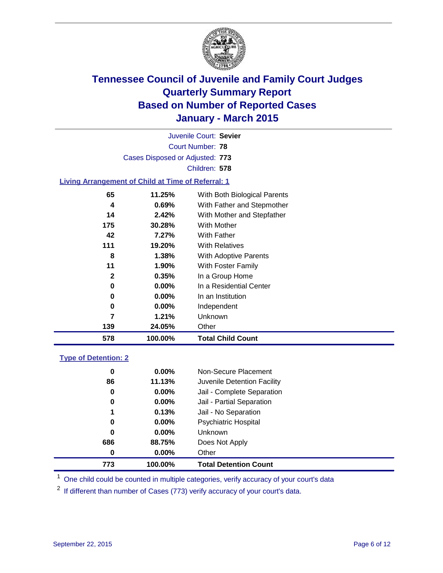

Court Number: **78** Juvenile Court: **Sevier** Cases Disposed or Adjusted: **773** Children: **578**

### **Living Arrangement of Child at Time of Referral: 1**

| 578          | 100.00%  | <b>Total Child Count</b>     |
|--------------|----------|------------------------------|
| 139          | 24.05%   | Other                        |
| 7            | 1.21%    | Unknown                      |
| 0            | $0.00\%$ | Independent                  |
| 0            | 0.00%    | In an Institution            |
| 0            | $0.00\%$ | In a Residential Center      |
| $\mathbf{2}$ | 0.35%    | In a Group Home              |
| 11           | $1.90\%$ | With Foster Family           |
| 8            | 1.38%    | With Adoptive Parents        |
| 111          | 19.20%   | <b>With Relatives</b>        |
| 42           | 7.27%    | With Father                  |
| 175          | 30.28%   | <b>With Mother</b>           |
| 14           | 2.42%    | With Mother and Stepfather   |
| 4            | 0.69%    | With Father and Stepmother   |
| 65           | 11.25%   | With Both Biological Parents |
|              |          |                              |

#### **Type of Detention: 2**

| 773 | 100.00%  | <b>Total Detention Count</b> |
|-----|----------|------------------------------|
| 0   | $0.00\%$ | Other                        |
| 686 | 88.75%   | Does Not Apply               |
| 0   | $0.00\%$ | <b>Unknown</b>               |
| 0   | $0.00\%$ | Psychiatric Hospital         |
| 1   | 0.13%    | Jail - No Separation         |
| 0   | 0.00%    | Jail - Partial Separation    |
| 0   | $0.00\%$ | Jail - Complete Separation   |
| 86  | 11.13%   | Juvenile Detention Facility  |
| 0   | $0.00\%$ | Non-Secure Placement         |

<sup>1</sup> One child could be counted in multiple categories, verify accuracy of your court's data

If different than number of Cases (773) verify accuracy of your court's data.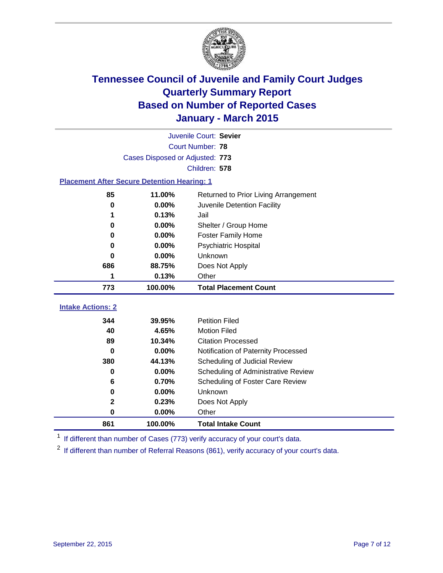

| Juvenile Court: Sevier                                             |                                 |                                      |  |  |  |
|--------------------------------------------------------------------|---------------------------------|--------------------------------------|--|--|--|
|                                                                    | Court Number: 78                |                                      |  |  |  |
|                                                                    | Cases Disposed or Adjusted: 773 |                                      |  |  |  |
|                                                                    |                                 | Children: 578                        |  |  |  |
| <b>Placement After Secure Detention Hearing: 1</b>                 |                                 |                                      |  |  |  |
| 85                                                                 | 11.00%                          | Returned to Prior Living Arrangement |  |  |  |
| $\bf{0}$                                                           | 0.00%                           | Juvenile Detention Facility          |  |  |  |
| 1                                                                  | 0.13%                           | Jail                                 |  |  |  |
| 0                                                                  | 0.00%                           | Shelter / Group Home                 |  |  |  |
| 0                                                                  | 0.00%                           | <b>Foster Family Home</b>            |  |  |  |
| 0.00%<br><b>Psychiatric Hospital</b><br>0<br>Unknown<br>0.00%<br>0 |                                 |                                      |  |  |  |
|                                                                    |                                 |                                      |  |  |  |
| 686<br>88.75%<br>Does Not Apply                                    |                                 |                                      |  |  |  |
| 1                                                                  | 0.13%                           | Other                                |  |  |  |
| 773                                                                | 100.00%                         | <b>Total Placement Count</b>         |  |  |  |
| <b>Intake Actions: 2</b>                                           |                                 |                                      |  |  |  |
| 344                                                                | 39.95%                          | <b>Petition Filed</b>                |  |  |  |
| 40                                                                 | 4.65%                           | <b>Motion Filed</b>                  |  |  |  |
| 89                                                                 | 10.34%                          | <b>Citation Processed</b>            |  |  |  |
| $\bf{0}$                                                           | 0.00%                           | Notification of Paternity Processed  |  |  |  |
| 380                                                                | 44.13%                          | Scheduling of Judicial Review        |  |  |  |
| 0                                                                  | 0.00%                           | Scheduling of Administrative Review  |  |  |  |
| 6                                                                  | 0.70%                           | Scheduling of Foster Care Review     |  |  |  |
| 0                                                                  | 0.00%                           | Unknown                              |  |  |  |
| 2                                                                  | 0.23%                           | Does Not Apply                       |  |  |  |
| 0                                                                  | 0.00%                           | Other                                |  |  |  |

<sup>1</sup> If different than number of Cases (773) verify accuracy of your court's data.

**100.00% Total Intake Count**

<sup>2</sup> If different than number of Referral Reasons (861), verify accuracy of your court's data.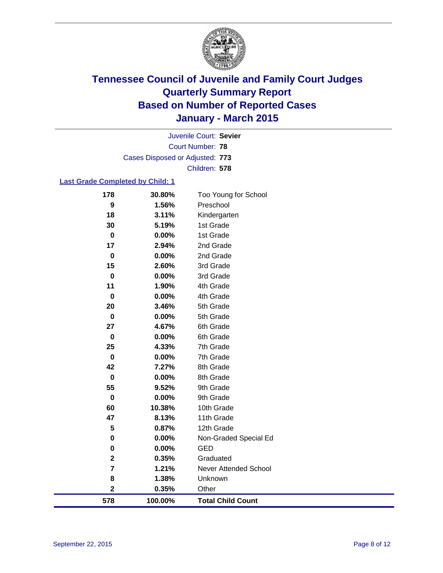

Court Number: **78** Juvenile Court: **Sevier** Cases Disposed or Adjusted: **773** Children: **578**

### **Last Grade Completed by Child: 1**

| 178                     | 30.80%  | Too Young for School     |
|-------------------------|---------|--------------------------|
| 9                       | 1.56%   | Preschool                |
| 18                      | 3.11%   | Kindergarten             |
| 30                      | 5.19%   | 1st Grade                |
| $\pmb{0}$               | 0.00%   | 1st Grade                |
| 17                      | 2.94%   | 2nd Grade                |
| $\mathbf 0$             | 0.00%   | 2nd Grade                |
| 15                      | 2.60%   | 3rd Grade                |
| $\bf{0}$                | 0.00%   | 3rd Grade                |
| 11                      | 1.90%   | 4th Grade                |
| $\mathbf 0$             | 0.00%   | 4th Grade                |
| 20                      | 3.46%   | 5th Grade                |
| $\mathbf 0$             | 0.00%   | 5th Grade                |
| 27                      | 4.67%   | 6th Grade                |
| $\bf{0}$                | 0.00%   | 6th Grade                |
| 25                      | 4.33%   | 7th Grade                |
| $\pmb{0}$               | 0.00%   | 7th Grade                |
| 42                      | 7.27%   | 8th Grade                |
| $\mathbf 0$             | 0.00%   | 8th Grade                |
| 55                      | 9.52%   | 9th Grade                |
| 0                       | 0.00%   | 9th Grade                |
| 60                      | 10.38%  | 10th Grade               |
| 47                      | 8.13%   | 11th Grade               |
| 5                       | 0.87%   | 12th Grade               |
| $\mathbf 0$             | 0.00%   | Non-Graded Special Ed    |
| 0                       | 0.00%   | <b>GED</b>               |
| $\mathbf 2$             | 0.35%   | Graduated                |
| 7                       | 1.21%   | Never Attended School    |
| 8                       | 1.38%   | Unknown                  |
| $\overline{\mathbf{2}}$ | 0.35%   | Other                    |
| 578                     | 100.00% | <b>Total Child Count</b> |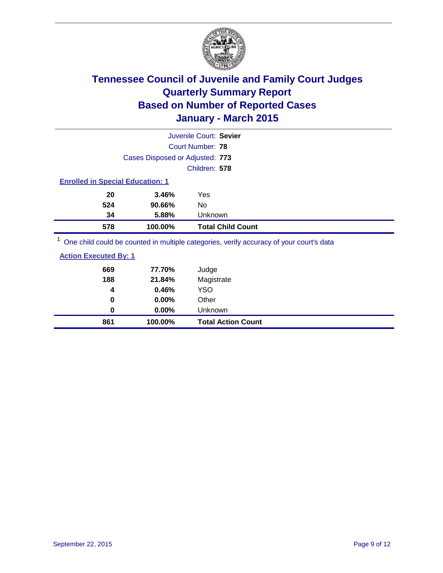

|                                                                                         |                                         | Juvenile Court: Sevier   |  |  |  |
|-----------------------------------------------------------------------------------------|-----------------------------------------|--------------------------|--|--|--|
|                                                                                         |                                         | Court Number: 78         |  |  |  |
|                                                                                         | Cases Disposed or Adjusted: 773         |                          |  |  |  |
|                                                                                         |                                         | Children: 578            |  |  |  |
|                                                                                         | <b>Enrolled in Special Education: 1</b> |                          |  |  |  |
| 20                                                                                      | 3.46%                                   | Yes                      |  |  |  |
| 524                                                                                     | 90.66%                                  | No                       |  |  |  |
| 34                                                                                      | 5.88%                                   | Unknown                  |  |  |  |
| 578                                                                                     | 100.00%                                 | <b>Total Child Count</b> |  |  |  |
| One child could be counted in multiple categories, verify accuracy of your court's data |                                         |                          |  |  |  |

| 861                          | 100.00% | <b>Total Action Count</b> |
|------------------------------|---------|---------------------------|
| $\bf{0}$                     | 0.00%   | <b>Unknown</b>            |
| 0                            | 0.00%   | Other                     |
| 4                            | 0.46%   | <b>YSO</b>                |
| 188                          | 21.84%  | Magistrate                |
| 669                          | 77.70%  | Judge                     |
| <b>Action Executed By: 1</b> |         |                           |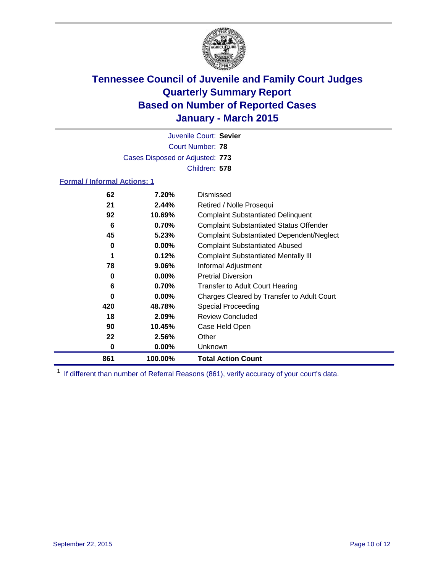

Court Number: **78** Juvenile Court: **Sevier** Cases Disposed or Adjusted: **773** Children: **578**

### **Formal / Informal Actions: 1**

| 62  | 7.20%    | Dismissed                                        |
|-----|----------|--------------------------------------------------|
| 21  | 2.44%    | Retired / Nolle Prosequi                         |
| 92  | 10.69%   | <b>Complaint Substantiated Delinquent</b>        |
| 6   | 0.70%    | <b>Complaint Substantiated Status Offender</b>   |
| 45  | 5.23%    | <b>Complaint Substantiated Dependent/Neglect</b> |
| 0   | $0.00\%$ | <b>Complaint Substantiated Abused</b>            |
| 1   | 0.12%    | <b>Complaint Substantiated Mentally III</b>      |
| 78  | 9.06%    | Informal Adjustment                              |
| 0   | $0.00\%$ | <b>Pretrial Diversion</b>                        |
| 6   | 0.70%    | <b>Transfer to Adult Court Hearing</b>           |
| 0   | $0.00\%$ | Charges Cleared by Transfer to Adult Court       |
| 420 | 48.78%   | <b>Special Proceeding</b>                        |
| 18  | 2.09%    | <b>Review Concluded</b>                          |
| 90  | 10.45%   | Case Held Open                                   |
| 22  | 2.56%    | Other                                            |
| 0   | $0.00\%$ | Unknown                                          |
| 861 | 100.00%  | <b>Total Action Count</b>                        |

<sup>1</sup> If different than number of Referral Reasons (861), verify accuracy of your court's data.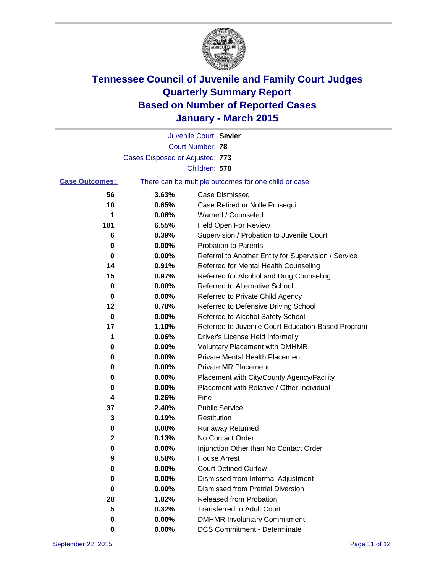

|                       |                                 | Juvenile Court: Sevier                                |
|-----------------------|---------------------------------|-------------------------------------------------------|
|                       |                                 | <b>Court Number: 78</b>                               |
|                       | Cases Disposed or Adjusted: 773 |                                                       |
|                       |                                 | Children: 578                                         |
| <b>Case Outcomes:</b> |                                 | There can be multiple outcomes for one child or case. |
| 56                    | 3.63%                           | Case Dismissed                                        |
| 10                    | 0.65%                           | Case Retired or Nolle Prosequi                        |
| 1                     | 0.06%                           | Warned / Counseled                                    |
| 101                   | 6.55%                           | Held Open For Review                                  |
| 6                     | 0.39%                           | Supervision / Probation to Juvenile Court             |
| 0                     | 0.00%                           | <b>Probation to Parents</b>                           |
| 0                     | 0.00%                           | Referral to Another Entity for Supervision / Service  |
| 14                    | 0.91%                           | Referred for Mental Health Counseling                 |
| 15                    | 0.97%                           | Referred for Alcohol and Drug Counseling              |
| 0                     | 0.00%                           | <b>Referred to Alternative School</b>                 |
| 0                     | 0.00%                           | Referred to Private Child Agency                      |
| 12                    | 0.78%                           | Referred to Defensive Driving School                  |
| 0                     | 0.00%                           | Referred to Alcohol Safety School                     |
| 17                    | 1.10%                           | Referred to Juvenile Court Education-Based Program    |
| 1                     | 0.06%                           | Driver's License Held Informally                      |
| 0                     | 0.00%                           | <b>Voluntary Placement with DMHMR</b>                 |
| 0                     | 0.00%                           | <b>Private Mental Health Placement</b>                |
| 0                     | 0.00%                           | <b>Private MR Placement</b>                           |
| 0                     | 0.00%                           | Placement with City/County Agency/Facility            |
| 0                     | 0.00%                           | Placement with Relative / Other Individual            |
| 4                     | 0.26%                           | Fine                                                  |
| 37                    | 2.40%                           | <b>Public Service</b>                                 |
| 3                     | 0.19%                           | Restitution                                           |
| 0                     | 0.00%                           | <b>Runaway Returned</b>                               |
| 2                     | 0.13%                           | No Contact Order                                      |
| 0                     | 0.00%                           | Injunction Other than No Contact Order                |
| y                     | 0.58%                           | <b>House Arrest</b>                                   |
| 0                     | 0.00%                           | <b>Court Defined Curfew</b>                           |
| 0                     | 0.00%                           | Dismissed from Informal Adjustment                    |
| 0                     | 0.00%                           | <b>Dismissed from Pretrial Diversion</b>              |
| 28                    | 1.82%                           | Released from Probation                               |
| 5                     | 0.32%                           | <b>Transferred to Adult Court</b>                     |
| 0                     | 0.00%                           | <b>DMHMR Involuntary Commitment</b>                   |
| 0                     | $0.00\%$                        | <b>DCS Commitment - Determinate</b>                   |